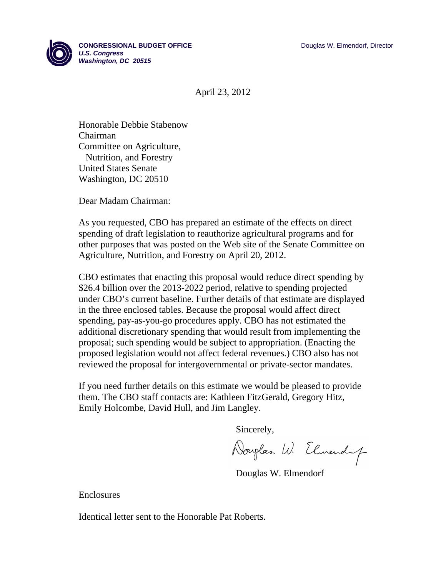

**CONGRESSIONAL BUDGET OFFICE Development of the CONGRESSIONAL BUDGET OFFICE** *U.S. Congress Washington, DC 20515* 

April 23, 2012

Honorable Debbie Stabenow Chairman Committee on Agriculture, Nutrition, and Forestry United States Senate Washington, DC 20510

Dear Madam Chairman:

As you requested, CBO has prepared an estimate of the effects on direct spending of draft legislation to reauthorize agricultural programs and for other purposes that was posted on the Web site of the Senate Committee on Agriculture, Nutrition, and Forestry on April 20, 2012.

CBO estimates that enacting this proposal would reduce direct spending by \$26.4 billion over the 2013-2022 period, relative to spending projected under CBO's current baseline. Further details of that estimate are displayed in the three enclosed tables. Because the proposal would affect direct spending, pay-as-you-go procedures apply. CBO has not estimated the additional discretionary spending that would result from implementing the proposal; such spending would be subject to appropriation. (Enacting the proposed legislation would not affect federal revenues.) CBO also has not reviewed the proposal for intergovernmental or private-sector mandates.

If you need further details on this estimate we would be pleased to provide them. The CBO staff contacts are: Kathleen FitzGerald, Gregory Hitz, Emily Holcombe, David Hull, and Jim Langley.

Sincerely,

Douglas W. Elmendy

Douglas W. Elmendorf

Enclosures

Identical letter sent to the Honorable Pat Roberts.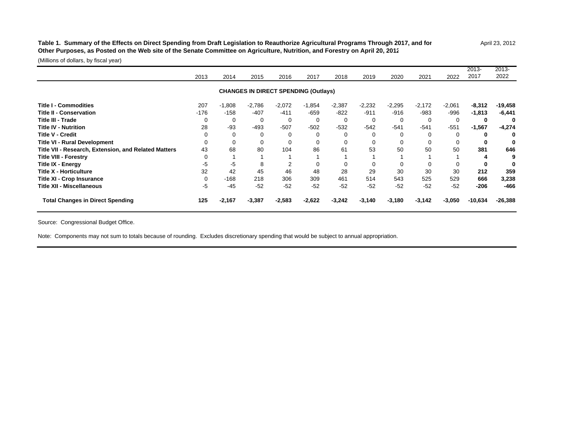## Table 1. Summary of the Effects on Direct Spending from Draft Legislation to Reauthorize Agricultural Programs Through 2017, and for April 23, 2012 **Other Purposes, as Posted on the Web site of the Senate Committee on Agriculture, Nutrition, and Forestry on April 20, 2012**

2013-

(Millions of dollars, by fiscal year)

|                                                      | 2013   | 2014     | 2015     | 2016                                        | 2017     | 2018     | 2019        | 2020     | 2021     | 2022     | 2013-<br>2017 | 2013-<br>2022 |
|------------------------------------------------------|--------|----------|----------|---------------------------------------------|----------|----------|-------------|----------|----------|----------|---------------|---------------|
|                                                      |        |          |          | <b>CHANGES IN DIRECT SPENDING (Outlays)</b> |          |          |             |          |          |          |               |               |
| <b>Title I - Commodities</b>                         | 207    | $-1,808$ | $-2,786$ | $-2,072$                                    | $-1,854$ | $-2,387$ | $-2,232$    | $-2,295$ | $-2,172$ | $-2,061$ | $-8,312$      | $-19,458$     |
| <b>Title II - Conservation</b>                       | $-176$ | $-158$   | $-407$   | $-411$                                      | $-659$   | $-822$   | $-911$      | $-916$   | $-983$   | $-996$   | $-1,813$      | $-6,441$      |
| Title III - Trade                                    | 0      | 0        | 0        | 0                                           | $\Omega$ | 0        | 0           | $\Omega$ | $\Omega$ | 0        | 0             |               |
| <b>Title IV - Nutrition</b>                          | 28     | $-93$    | $-493$   | $-507$                                      | $-502$   | $-532$   | $-542$      | $-541$   | $-541$   | $-551$   | $-1,567$      | $-4,274$      |
| Title V - Credit                                     |        | 0        | 0        |                                             |          | $\Omega$ | 0           |          |          | 0        | 0             | 0             |
| <b>Title VI - Rural Development</b>                  |        | 0        | 0        | 0                                           |          | 0        | $\mathbf 0$ |          |          |          | 0             |               |
| Title VII - Research, Extension, and Related Matters | 43     | 68       | 80       | 104                                         | 86       | 61       | 53          | 50       | 50       | 50       | 381           | 646           |
| <b>Title VIII - Forestry</b>                         |        |          |          |                                             |          |          |             |          |          |          | 4             |               |
| <b>Title IX - Energy</b>                             | -5     | $-5$     | 8        |                                             |          | 0        |             |          |          |          | 0             |               |
| Title X - Horticulture                               | 32     | 42       | 45       | 46                                          | 48       | 28       | 29          | 30       | 30       | 30       | 212           | 359           |
| <b>Title XI - Crop Insurance</b>                     | 0      | $-168$   | 218      | 306                                         | 309      | 461      | 514         | 543      | 525      | 529      | 666           | 3,238         |
| Title XII - Miscellaneous                            | $-5$   | $-45$    | $-52$    | $-52$                                       | $-52$    | $-52$    | $-52$       | $-52$    | $-52$    | $-52$    | $-206$        | $-466$        |
| <b>Total Changes in Direct Spending</b>              | 125    | $-2,167$ | $-3,387$ | $-2,583$                                    | $-2,622$ | $-3,242$ | $-3,140$    | $-3,180$ | $-3,142$ | $-3,050$ | $-10,634$     | $-26,388$     |

Source: Congressional Budget Office.

Note: Components may not sum to totals because of rounding. Excludes discretionary spending that would be subject to annual appropriation.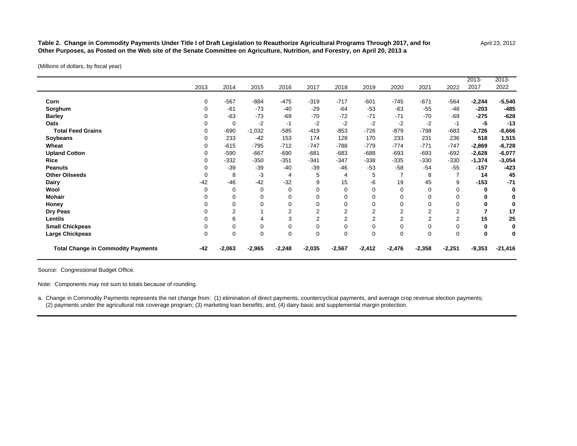Table 2. Change in Commodity Payments Under Title I of Draft Legislation to Reauthorize Agricultural Programs Through 2017, and for April 23, 2012 **Other Purposes, as Posted on the Web site of the Senate Committee on Agriculture, Nutrition, and Forestry, on April 20, 2013 a/**

(Millions of dollars, by fiscal year)

|                                           |             |             |          |                |                |                |                |                |                |                | $2013 -$ | $2013 -$  |
|-------------------------------------------|-------------|-------------|----------|----------------|----------------|----------------|----------------|----------------|----------------|----------------|----------|-----------|
|                                           | 2013        | 2014        | 2015     | 2016           | 2017           | 2018           | 2019           | 2020           | 2021           | 2022           | 2017     | 2022      |
| Corn                                      | 0           | $-567$      | $-884$   | $-475$         | $-319$         | $-717$         | $-601$         | $-745$         | $-671$         | $-564$         | $-2,244$ | $-5,540$  |
| Sorghum                                   | 0           | $-61$       | $-73$    | -40            | $-29$          | $-64$          | $-53$          | $-63$          | $-55$          | $-48$          | $-203$   | $-485$    |
| <b>Barley</b>                             |             | $-63$       | $-73$    | $-69$          | $-70$          | $-72$          | $-71$          | $-71$          | $-70$          | $-69$          | $-275$   | $-628$    |
| Oats                                      |             | 0           | $-2$     | $-1$           | $-2$           | $-2$           | $-2$           | $-2$           | $-2$           | $-1$           | -5       | $-13$     |
| <b>Total Feed Grains</b>                  |             | $-690$      | $-1,032$ | $-585$         | $-419$         | $-853$         | $-726$         | $-879$         | $-798$         | $-683$         | $-2,726$ | $-6,666$  |
| Soybeans                                  |             | 233         | $-42$    | 153            | 174            | 128            | 170            | 233            | 231            | 236            | 518      | 1,515     |
| Wheat                                     |             | $-615$      | $-795$   | $-712$         | $-747$         | $-788$         | $-779$         | $-774$         | $-771$         | $-747$         | $-2,869$ | $-6,728$  |
| <b>Upland Cotton</b>                      |             | $-590$      | $-667$   | $-690$         | $-681$         | $-683$         | $-688$         | $-693$         | $-693$         | $-692$         | $-2,628$ | $-6,077$  |
| <b>Rice</b>                               |             | $-332$      | $-350$   | $-351$         | $-341$         | $-347$         | $-338$         | $-335$         | $-330$         | $-330$         | $-1,374$ | $-3,054$  |
| <b>Peanuts</b>                            |             | $-39$       | $-39$    | $-40$          | $-39$          | $-46$          | $-53$          | $-58$          | $-54$          | $-55$          | $-157$   | $-423$    |
| <b>Other Oilseeds</b>                     |             | 8           | -3       | 4              | 5              | 4              | 5              |                | 8              |                | 14       | 45        |
| <b>Dairy</b>                              | $-42$       | $-46$       | $-42$    | $-32$          | 9              | 15             | -6             | 19             | 45             | 9              | $-153$   | $-71$     |
| Wool                                      | 0           | $\mathbf 0$ | $\Omega$ | $\Omega$       | 0              | $\mathbf 0$    | $\mathbf 0$    | 0              | 0              | $\mathbf 0$    | 0        |           |
| <b>Mohair</b>                             |             | 0           | $\Omega$ | 0              |                | 0              | $\mathbf 0$    |                | 0              | $\Omega$       | 0        |           |
| Honey                                     |             | 0           |          | 0              | 0              | $\mathbf 0$    | $\Omega$       |                | $\Omega$       | $\Omega$       | 0        |           |
| Dry Peas                                  |             | 2           |          | $\overline{2}$ | $\overline{2}$ | $\overline{2}$ | $\overline{2}$ | 2              | 2              | $\overline{2}$ | 7        | 17        |
| Lentils                                   |             | 6           |          | 3              | 2              | $\overline{2}$ | 2              | $\overline{2}$ | $\overline{2}$ | $\overline{2}$ | 15       | 25        |
| <b>Small Chickpeas</b>                    |             | 0           |          | 0              |                | 0              | $\mathbf 0$    |                | $\Omega$       | $\Omega$       | 0        |           |
| Large Chickpeas                           | $\mathbf 0$ | $\mathbf 0$ | $\Omega$ | 0              | $\Omega$       | $\mathbf 0$    | $\mathbf 0$    | $\Omega$       | $\Omega$       | $\mathbf 0$    | 0        |           |
| <b>Total Change in Commodity Payments</b> | $-42$       | $-2,063$    | $-2,965$ | $-2,248$       | $-2,035$       | $-2,567$       | $-2,412$       | $-2,476$       | $-2,358$       | $-2,251$       | $-9,353$ | $-21,416$ |

Source: Congressional Budget Office.

Note: Components may not sum to totals because of rounding.

a. Change in Commodity Payments represents the net change from: (1) elimination of direct payments, countercyclical payments, and average crop revenue election payments; (2) payments under the agricultural risk coverage program; (3) marketing loan benefits; and, (4) dairy basic and supplemental margin protection.